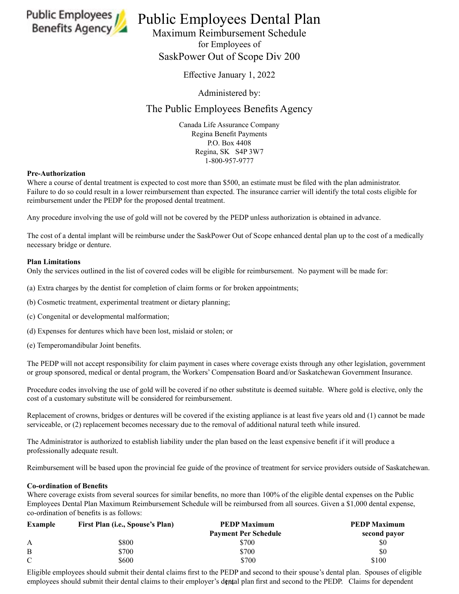

# Public Employees *If* Public Employees Dental Plan

Maximum Reimbursement Schedule for Employees of SaskPower Out of Scope Div 200

Effective January 1, 2022

Administered by:

## The Public Employees Benefits Agency

Canada Life Assurance Company Regina Benefit Payments P.O. Box 4408 Regina, SK S4P 3W7 1-800-957-9777

#### **Pre-Authorization**

Where a course of dental treatment is expected to cost more than \$500, an estimate must be filed with the plan administrator. Failure to do so could result in a lower reimbursement than expected. The insurance carrier will identify the total costs eligible for reimbursement under the PEDP for the proposed dental treatment.

Any procedure involving the use of gold will not be covered by the PEDP unless authorization is obtained in advance.

The cost of a dental implant will be reimburse under the SaskPower Out of Scope enhanced dental plan up to the cost of a medically necessary bridge or denture.

### **Plan Limitations**

Only the services outlined in the list of covered codes will be eligible for reimbursement. No payment will be made for:

(a) Extra charges by the dentist for completion of claim forms or for broken appointments;

- (b) Cosmetic treatment, experimental treatment or dietary planning;
- (c) Congenital or developmental malformation;
- (d) Expenses for dentures which have been lost, mislaid or stolen; or
- (e) Temperomandibular Joint benefits.

The PEDP will not accept responsibility for claim payment in cases where coverage exists through any other legislation, government or group sponsored, medical or dental program, the Workers' Compensation Board and/or Saskatchewan Government Insurance.

Procedure codes involving the use of gold will be covered if no other substitute is deemed suitable. Where gold is elective, only the cost of a customary substitute will be considered for reimbursement.

Replacement of crowns, bridges or dentures will be covered if the existing appliance is at least five years old and (1) cannot be made serviceable, or (2) replacement becomes necessary due to the removal of additional natural teeth while insured.

The Administrator is authorized to establish liability under the plan based on the least expensive benefit if it will produce a professionally adequate result.

Reimbursement will be based upon the provincial fee guide of the province of treatment for service providers outside of Saskatchewan.

#### **Co-ordination of Benefits**

Where coverage exists from several sources for similar benefits, no more than 100% of the eligible dental expenses on the Public Employees Dental Plan Maximum Reimbursement Schedule will be reimbursed from all sources. Given a \$1,000 dental expense, co‑ordination of benefits is as follows:

| Example | First Plan (i.e., Spouse's Plan) | <b>PEDP Maximum</b>         | <b>PEDP Maximum</b> |
|---------|----------------------------------|-----------------------------|---------------------|
|         |                                  | <b>Payment Per Schedule</b> | second payor        |
| A       | \$800                            | \$700                       | \$0                 |
| B       | \$700                            | \$700                       | \$0                 |
|         | \$600                            | \$700                       | \$100               |

employees should submit their dental claims to their employer's demtal plan first and second to the PEDP. Claims for dependent Eligible employees should submit their dental claims first to the PEDP and second to their spouse's dental plan. Spouses of eligible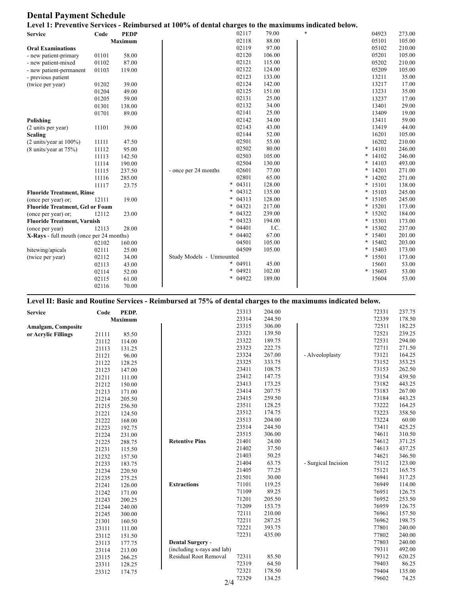## **Dental Payment Schedule**

| Level 1: Preventive Services - Reimbursed at 100% of dental charges to the maximums indicated below. |       |             |                          |                 |        |  |        |         |        |
|------------------------------------------------------------------------------------------------------|-------|-------------|--------------------------|-----------------|--------|--|--------|---------|--------|
| <b>Service</b>                                                                                       | Code  | <b>PEDP</b> |                          | 02117           | 79.00  |  |        | 04923   | 273.00 |
|                                                                                                      |       | Maximum     |                          | 02118           | 88.00  |  |        | 05101   | 105.00 |
| <b>Oral Examinations</b>                                                                             |       |             |                          | 02119           | 97.00  |  |        | 05102   | 210.00 |
| - new patient-primary                                                                                | 01101 | 58.00       |                          | 02120           | 106.00 |  |        | 05201   | 105.00 |
| - new patient-mixed                                                                                  | 01102 | 87.00       |                          | 02121           | 115.00 |  |        | 05202   | 210.00 |
| - new patient-permanent                                                                              | 01103 | 119.00      |                          | 02122           | 124.00 |  |        | 05209   | 105.00 |
| - previous patient                                                                                   |       |             |                          | 02123           | 133.00 |  |        | 13211   | 35.00  |
| (twice per year)                                                                                     | 01202 | 39.00       |                          | 02124           | 142.00 |  |        | 13217   | 17.00  |
|                                                                                                      | 01204 | 49.00       |                          | 02125           | 151.00 |  |        | 13231   | 35.00  |
|                                                                                                      | 01205 | 59.00       |                          | 02131           | 25.00  |  |        | 13237   | 17.00  |
|                                                                                                      | 01301 | 138.00      |                          | 02132           | 34.00  |  |        | 13401   | 29.00  |
|                                                                                                      | 01701 | 89.00       |                          | 02141           | 25.00  |  |        | 13409   | 19.00  |
| Polishing                                                                                            |       |             |                          | 02142           | 34.00  |  |        | 13411   | 59.00  |
| (2 units per year)                                                                                   | 11101 | 39.00       |                          | 02143           | 43.00  |  |        | 13419   | 44.00  |
| <b>Scaling</b>                                                                                       |       |             |                          | 02144           | 52.00  |  |        | 16201   | 105.00 |
| $(2 \text{ units/year at } 100\%)$                                                                   | 11111 | 47.50       |                          | 02501           | 55.00  |  |        | 16202   | 210.00 |
| (8 units/year at 75%)                                                                                | 11112 | 95.00       |                          | 02502           | 80.00  |  | $\ast$ | 14101   | 246.00 |
|                                                                                                      | 11113 | 142.50      |                          | 02503           | 105.00 |  | *      | 14102   | 246.00 |
|                                                                                                      | 11114 | 190.00      |                          | 02504           | 130.00 |  | $\ast$ | 14103   | 493.00 |
|                                                                                                      | 11115 | 237.50      | - once per 24 months     | 02601           | 77.00  |  | *      | 14201   | 271.00 |
|                                                                                                      | 11116 | 285.00      |                          | 02801           | 65.00  |  | *      | 14202   | 271.00 |
|                                                                                                      | 11117 | 23.75       |                          | 04311<br>$\ast$ | 128.00 |  | *      | 15101   | 138.00 |
| <b>Fluoride Treatment, Rinse</b>                                                                     |       |             |                          | 04312<br>$\ast$ | 135.00 |  | $\ast$ | 15103   | 245.00 |
| (once per year) or;                                                                                  | 12111 | 19.00       |                          | 04313<br>$\ast$ | 128.00 |  | *      | 15105   | 245.00 |
| <b>Fluoride Treatment, Gel or Foam</b>                                                               |       |             |                          | 04321<br>$\ast$ | 217.00 |  | *      | 15201   | 173.00 |
| (once per year) or;                                                                                  | 12112 | 23.00       |                          | 04322<br>$\ast$ | 239.00 |  | *      | 15202   | 184.00 |
| <b>Fluoride Treatment, Varnish</b>                                                                   |       |             |                          | $\ast$<br>04323 | 194.00 |  | $\ast$ | 15301   | 173.00 |
| (once per year)                                                                                      | 12113 | 28.00       |                          | $\ast$<br>04401 | I.C.   |  | *      | 15302   | 237.00 |
| X-Rays - full mouth (once per 24 months)                                                             |       |             |                          | $\ast$<br>04402 | 67.00  |  | $\ast$ | 15401   | 201.00 |
|                                                                                                      | 02102 | 160.00      |                          | 04501           | 105.00 |  | *      | 15402   | 203.00 |
| bitewing/apicals                                                                                     | 02111 | 25.00       |                          | 04509           | 105.00 |  | *      | 15403   | 173.00 |
| (twice per year)                                                                                     | 02112 | 34.00       | Study Models - Unmounted |                 |        |  |        | * 15501 | 173.00 |
|                                                                                                      | 02113 | 43.00       |                          | $\ast$<br>04911 | 45.00  |  |        | 15601   | 53.00  |
|                                                                                                      | 02114 | 52.00       |                          | $\ast$<br>04921 | 102.00 |  | *      | 15603   | 53.00  |
|                                                                                                      | 02115 | 61.00       |                          | $\ast$<br>04922 | 189.00 |  |        | 15604   | 53.00  |
|                                                                                                      | 02116 | 70.00       |                          |                 |        |  |        |         |        |

## **Level II: Basic and Routine Services - Reimbursed at 75% of dental charges to the maximums indicated below.**

| <b>Service</b>            | Code  | PEDP.          |                            | 23313 | 204.00 |                     | 72331 | 237.75 |
|---------------------------|-------|----------------|----------------------------|-------|--------|---------------------|-------|--------|
|                           |       | <b>Maximum</b> |                            | 23314 | 244.50 |                     | 72339 | 178.50 |
| <b>Amalgam, Composite</b> |       |                |                            | 23315 | 306.00 |                     | 72511 | 182.25 |
| or Acrylic Fillings       | 21111 | 85.50          |                            | 23321 | 139.50 |                     | 72521 | 239.25 |
|                           | 21112 | 114.00         |                            | 23322 | 189.75 |                     | 72531 | 294.00 |
|                           | 21113 | 131.25         |                            | 23323 | 222.75 |                     | 72711 | 271.50 |
|                           | 21121 | 96.00          |                            | 23324 | 267.00 | - Alveoloplasty     | 73121 | 164.25 |
|                           | 21122 | 128.25         |                            | 23325 | 333.75 |                     | 73152 | 353.25 |
|                           | 21123 | 147.00         |                            | 23411 | 108.75 |                     | 73153 | 262.50 |
|                           | 21211 | 111.00         |                            | 23412 | 147.75 |                     | 73154 | 439.50 |
|                           | 21212 | 150.00         |                            | 23413 | 173.25 |                     | 73182 | 443.25 |
|                           | 21213 | 171.00         |                            | 23414 | 207.75 |                     | 73183 | 267.00 |
|                           | 21214 | 205.50         |                            | 23415 | 259.50 |                     | 73184 | 443.25 |
|                           | 21215 | 256.50         |                            | 23511 | 128.25 |                     | 73222 | 164.25 |
|                           | 21221 | 124.50         |                            | 23512 | 174.75 |                     | 73223 | 358.50 |
|                           | 21222 | 168.00         |                            | 23513 | 204.00 |                     | 73224 | 60.00  |
|                           | 21223 | 192.75         |                            | 23514 | 244.50 |                     | 73411 | 425.25 |
|                           | 21224 | 231.00         |                            | 23515 | 306.00 |                     | 74611 | 310.50 |
|                           | 21225 | 288.75         | <b>Retentive Pins</b>      | 21401 | 24.00  |                     | 74612 | 371.25 |
|                           | 21231 | 115.50         |                            | 21402 | 37.50  |                     | 74613 | 437.25 |
|                           | 21232 | 157.50         |                            | 21403 | 50.25  |                     | 74621 | 346.50 |
|                           | 21233 | 183.75         |                            | 21404 | 63.75  | - Surgical Incision | 75112 | 123.00 |
|                           | 21234 | 220.50         |                            | 21405 | 77.25  |                     | 75121 | 165.75 |
|                           | 21235 | 275.25         |                            | 21501 | 30.00  |                     | 76941 | 317.25 |
|                           | 21241 | 126.00         | <b>Extractions</b>         | 71101 | 119.25 |                     | 76949 | 114.00 |
|                           | 21242 | 171.00         |                            | 71109 | 89.25  |                     | 76951 | 126.75 |
|                           | 21243 | 200.25         |                            | 71201 | 205.50 |                     | 76952 | 253.50 |
|                           | 21244 | 240.00         |                            | 71209 | 153.75 |                     | 76959 | 126.75 |
|                           | 21245 | 300.00         |                            | 72111 | 210.00 |                     | 76961 | 157.50 |
|                           | 21301 | 160.50         |                            | 72211 | 287.25 |                     | 76962 | 198.75 |
|                           | 23111 | 111.00         |                            | 72221 | 393.75 |                     | 77801 | 240.00 |
|                           | 23112 | 151.50         |                            | 72231 | 435.00 |                     | 77802 | 240.00 |
|                           | 23113 | 177.75         | <b>Dental Surgery -</b>    |       |        |                     | 77803 | 240.00 |
|                           | 23114 | 213.00         | (including x-rays and lab) |       |        |                     | 79311 | 492.00 |
|                           | 23115 | 266.25         | Residual Root Removal      | 72311 | 85.50  |                     | 79312 | 620.25 |
|                           | 23311 | 128.25         |                            | 72319 | 64.50  |                     | 79403 | 86.25  |
|                           | 23312 | 174.75         |                            | 72321 | 178.50 |                     | 79404 | 135.00 |
|                           |       |                | 2/4                        | 72329 | 134.25 |                     | 79602 | 74.25  |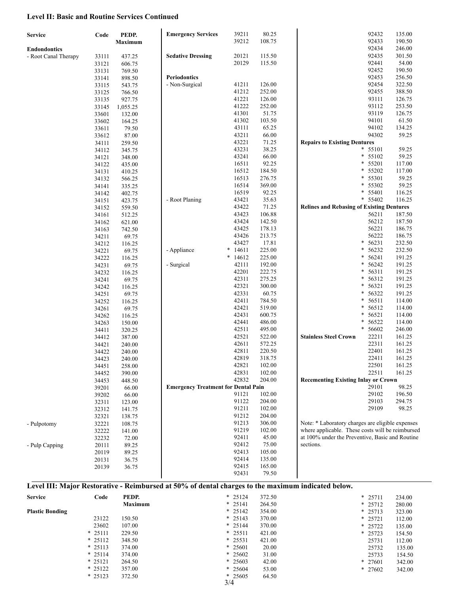### **Level II: Basic and Routine Services Continued**

| <b>Service</b>       | Code  | PEDP.    | <b>Emergency Services</b>                  | 39211      | 80.25  | 92432                                            | 135.00 |
|----------------------|-------|----------|--------------------------------------------|------------|--------|--------------------------------------------------|--------|
|                      |       | Maximum  |                                            | 39212      | 108.75 | 92433                                            | 190.50 |
| <b>Endondontics</b>  |       |          |                                            |            |        | 92434                                            | 246.00 |
| - Root Canal Therapy | 33111 | 437.25   | <b>Sedative Dressing</b>                   | 20121      | 115.50 | 92435                                            | 301.50 |
|                      | 33121 | 606.75   |                                            | 20129      | 115.50 | 92441                                            | 54.00  |
|                      | 33131 | 769.50   |                                            |            |        | 92452                                            | 190.50 |
|                      | 33141 | 898.50   | <b>Periodontics</b>                        |            |        | 92453                                            | 256.50 |
|                      | 33115 | 543.75   | - Non-Surgical                             | 41211      | 126.00 | 92454                                            | 322.50 |
|                      | 33125 | 766.50   |                                            | 41212      | 252.00 | 92455                                            | 388.50 |
|                      | 33135 | 927.75   |                                            | 41221      | 126.00 | 93111                                            | 126.75 |
|                      | 33145 | 1,055.25 |                                            | 41222      | 252.00 | 93112                                            | 253.50 |
|                      | 33601 | 132.00   |                                            | 41301      | 51.75  | 93119                                            | 126.75 |
|                      | 33602 | 164.25   |                                            | 41302      | 103.50 | 94101                                            | 61.50  |
|                      | 33611 | 79.50    |                                            | 43111      | 65.25  | 94102                                            | 134.25 |
|                      | 33612 | 87.00    |                                            | 43211      | 66.00  | 94302                                            | 59.25  |
|                      | 34111 | 259.50   |                                            | 43221      | 71.25  | <b>Repairs to Existing Dentures</b>              |        |
|                      | 34112 | 345.75   |                                            | 43231      | 38.25  | $\ast$<br>55101                                  | 59.25  |
|                      | 34121 | 348.00   |                                            | 43241      | 66.00  | $\ast$<br>55102                                  | 59.25  |
|                      | 34122 | 435.00   |                                            | 16511      | 92.25  | $\ast$<br>55201                                  | 117.00 |
|                      | 34131 | 410.25   |                                            | 16512      | 184.50 | $\ast$<br>55202                                  | 117.00 |
|                      | 34132 | 566.25   |                                            | 16513      | 276.75 | $\ast$<br>55301                                  | 59.25  |
|                      | 34141 | 335.25   |                                            | 16514      | 369.00 | *<br>55302                                       | 59.25  |
|                      | 34142 | 402.75   |                                            | 16519      | 92.25  | $\ast$<br>55401                                  | 116.25 |
|                      | 34151 | 423.75   | - Root Planing                             | 43421      | 35.63  | * 55402                                          | 116.25 |
|                      | 34152 | 559.50   |                                            | 43422      | 71.25  | <b>Relines and Rebasing of Existing Dentures</b> |        |
|                      | 34161 | 512.25   |                                            | 43423      | 106.88 | 56211                                            | 187.50 |
|                      | 34162 | 621.00   |                                            | 43424      | 142.50 | 56212                                            | 187.50 |
|                      | 34163 | 742.50   |                                            | 43425      | 178.13 | 56221                                            | 186.75 |
|                      | 34211 | 69.75    |                                            | 43426      | 213.75 | 56222                                            | 186.75 |
|                      | 34212 | 116.25   |                                            | 43427      | 17.81  | $\ast$<br>56231                                  | 232.50 |
|                      | 34221 | 69.75    | - Appliance                                | $* 14611$  | 225.00 | $\ast$<br>56232                                  | 232.50 |
|                      | 34222 | 116.25   |                                            | 14612<br>∗ | 225.00 | $\ast$<br>56241                                  | 191.25 |
|                      | 34231 | 69.75    | - Surgical                                 | 42111      | 192.00 | $\ast$<br>56242                                  | 191.25 |
|                      | 34232 | 116.25   |                                            | 42201      | 222.75 | $\ast$<br>56311                                  | 191.25 |
|                      | 34241 | 69.75    |                                            | 42311      | 275.25 | $\ast$<br>56312                                  | 191.25 |
|                      | 34242 | 116.25   |                                            | 42321      | 300.00 | $\ast$<br>56321                                  | 191.25 |
|                      | 34251 | 69.75    |                                            | 42331      | 60.75  | $\ast$<br>56322                                  | 191.25 |
|                      | 34252 | 116.25   |                                            | 42411      | 784.50 | $\ast$<br>56511                                  | 114.00 |
|                      | 34261 | 69.75    |                                            | 42421      | 519.00 | $\ast$<br>56512                                  | 114.00 |
|                      | 34262 | 116.25   |                                            | 42431      | 600.75 | $\ast$<br>56521                                  | 114.00 |
|                      | 34263 | 150.00   |                                            | 42441      | 486.00 | $\ast$<br>56522                                  | 114.00 |
|                      | 34411 | 320.25   |                                            | 42511      | 495.00 | $\ast$<br>56602                                  | 246.00 |
|                      | 34412 | 387.00   |                                            | 42521      | 522.00 | <b>Stainless Steel Crown</b><br>22211            | 161.25 |
|                      | 34421 | 240.00   |                                            | 42611      | 572.25 | 22311                                            | 161.25 |
|                      | 34422 | 240.00   |                                            | 42811      | 220.50 | 22401                                            | 161.25 |
|                      | 34423 | 240.00   |                                            | 42819      | 318.75 | 22411                                            | 161.25 |
|                      | 34451 | 258.00   |                                            | 42821      | 102.00 | 22501                                            | 161.25 |
|                      | 34452 | 390.00   |                                            | 42831      | 102.00 | 22511                                            | 161.25 |
|                      | 34453 | 448.50   |                                            | 42832      | 204.00 | <b>Recementing Existing Inlay or Crown</b>       |        |
|                      | 39201 | 66.00    | <b>Emergency Treatment for Dental Pain</b> |            |        | 29101                                            | 98.25  |
|                      | 39202 | 66.00    |                                            | 91121      | 102.00 | 29102                                            | 196.50 |
|                      | 32311 | 123.00   |                                            | 91122      | 204.00 | 29103                                            | 294.75 |
|                      | 32312 | 141.75   |                                            | 91211      | 102.00 | 29109                                            | 98.25  |
|                      | 32321 | 138.75   |                                            | 91212      | 204.00 |                                                  |        |
| - Pulpotomy          | 32221 | 108.75   |                                            | 91213      | 306.00 | Note: * Laboratory charges are eligible expenses |        |
|                      | 32222 | 141.00   |                                            | 91219      | 102.00 | where applicable. These costs will be reimbursed |        |
|                      | 32232 | 72.00    |                                            | 92411      | 45.00  | at 100% under the Preventive, Basic and Routine  |        |
| - Pulp Capping       | 20111 | 89.25    |                                            | 92412      | 75.00  | sections.                                        |        |
|                      | 20119 | 89.25    |                                            | 92413      | 105.00 |                                                  |        |
|                      | 20131 | 36.75    |                                            | 92414      | 135.00 |                                                  |        |
|                      | 20139 | 36.75    |                                            | 92415      | 165.00 |                                                  |        |
|                      |       |          |                                            | 92431      | 79.50  |                                                  |        |

## **Level III: Major Restorative - Reimbursed at 50% of dental charges to the maximum indicated below.**

| <b>Service</b>         | Code      | PEDP.          |     | $* 25124$ | 372.50 | $*$ 25711 | 234.00 |
|------------------------|-----------|----------------|-----|-----------|--------|-----------|--------|
|                        |           | <b>Maximum</b> |     | $*$ 25141 | 264.50 | $*$ 25712 | 280.00 |
| <b>Plastic Bonding</b> |           |                |     | $*$ 25142 | 354.00 | $*$ 25713 | 323.00 |
|                        | 23122     | 150.50         |     | $* 25143$ | 370.00 | $*$ 25721 | 112.00 |
|                        | 23602     | 107.00         |     | $* 25144$ | 370.00 | $*25722$  | 135.00 |
|                        | $*$ 25111 | 229.50         |     | $*$ 25511 | 421.00 | $*25723$  | 154.50 |
|                        | $*25112$  | 348.50         |     | $* 25531$ | 421.00 | 25731     | 112.00 |
|                        | $*25113$  | 374.00         |     | $* 25601$ | 20.00  | 25732     | 135.00 |
|                        | $* 25114$ | 374.00         |     | $* 25602$ | 31.00  | 25733     | 154.50 |
|                        | $*25121$  | 264.50         |     | $* 25603$ | 42.00  | $*27601$  | 342.00 |
|                        | $*25122$  | 357.00         |     | $* 25604$ | 53.00  | $*$ 27602 | 342.00 |
|                        | $*25123$  | 372.50         | 3/4 | $* 25605$ | 64.50  |           |        |